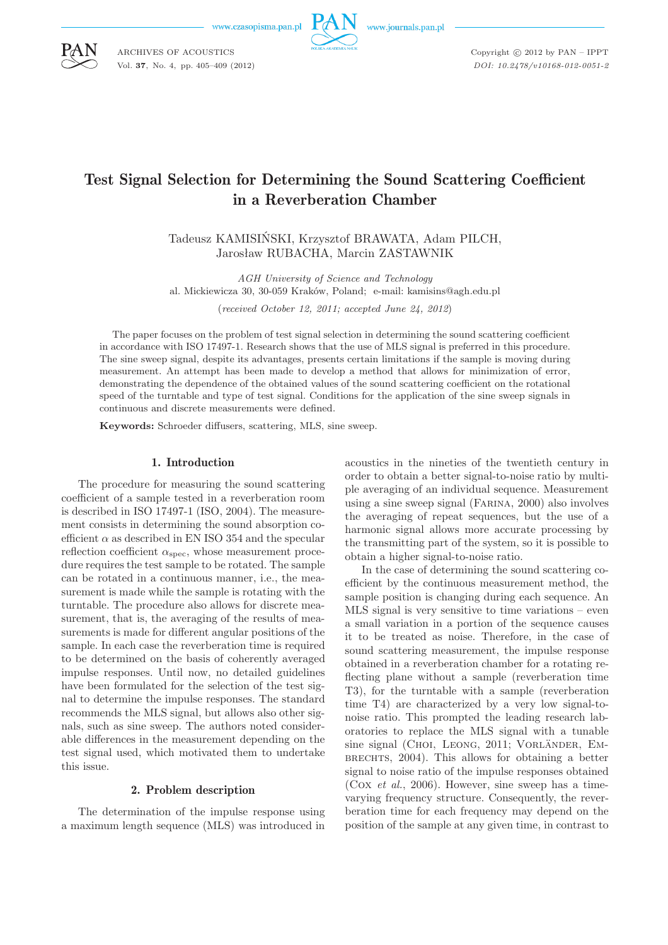

Copyright  $\odot$  2012 by PAN - IPPT *DOI: 10.2478/v10168-012-0051-2*

# Test Signal Selection for Determining the Sound Scattering Coefficient in a Reverberation Chamber

Tadeusz KAMISIŃSKI, Krzysztof BRAWATA, Adam PILCH, Jarosław RUBACHA, Marcin ZASTAWNIK

*AGH University of Science and Technology* al. Mickiewicza 30, 30-059 Kraków, Poland; e-mail: kamisins@agh.edu.pl

(*received October 12, 2011; accepted June 24, 2012*)

The paper focuses on the problem of test signal selection in determining the sound scattering coefficient in accordance with ISO 17497-1. Research shows that the use of MLS signal is preferred in this procedure. The sine sweep signal, despite its advantages, presents certain limitations if the sample is moving during measurement. An attempt has been made to develop a method that allows for minimization of error, demonstrating the dependence of the obtained values of the sound scattering coefficient on the rotational speed of the turntable and type of test signal. Conditions for the application of the sine sweep signals in continuous and discrete measurements were defined.

**Keywords:** Schroeder diffusers, scattering, MLS, sine sweep.

## 1. Introduction

The procedure for measuring the sound scattering coefficient of a sample tested in a reverberation room is described in ISO 17497-1 (ISO, 2004). The measurement consists in determining the sound absorption coefficient  $\alpha$  as described in EN ISO 354 and the specular reflection coefficient  $\alpha_{\rm spec}$ , whose measurement procedure requires the test sample to be rotated. The sample can be rotated in a continuous manner, i.e., the measurement is made while the sample is rotating with the turntable. The procedure also allows for discrete measurement, that is, the averaging of the results of measurements is made for different angular positions of the sample. In each case the reverberation time is required to be determined on the basis of coherently averaged impulse responses. Until now, no detailed guidelines have been formulated for the selection of the test signal to determine the impulse responses. The standard recommends the MLS signal, but allows also other signals, such as sine sweep. The authors noted considerable differences in the measurement depending on the test signal used, which motivated them to undertake this issue.

### 2. Problem description

The determination of the impulse response using a maximum length sequence (MLS) was introduced in acoustics in the nineties of the twentieth century in order to obtain a better signal-to-noise ratio by multiple averaging of an individual sequence. Measurement using a sine sweep signal (Farina, 2000) also involves the averaging of repeat sequences, but the use of a harmonic signal allows more accurate processing by the transmitting part of the system, so it is possible to obtain a higher signal-to-noise ratio.

In the case of determining the sound scattering coefficient by the continuous measurement method, the sample position is changing during each sequence. An MLS signal is very sensitive to time variations – even a small variation in a portion of the sequence causes it to be treated as noise. Therefore, in the case of sound scattering measurement, the impulse response obtained in a reverberation chamber for a rotating reflecting plane without a sample (reverberation time T3), for the turntable with a sample (reverberation time T4) are characterized by a very low signal-tonoise ratio. This prompted the leading research laboratories to replace the MLS signal with a tunable sine signal (CHOI, LEONG, 2011; VORLÄNDER, EMbrechts, 2004). This allows for obtaining a better signal to noise ratio of the impulse responses obtained (Cox *et al.*, 2006). However, sine sweep has a timevarying frequency structure. Consequently, the reverberation time for each frequency may depend on the position of the sample at any given time, in contrast to



ARCHIVES OF ACOUSTICS Vol. **37**, No. 4, pp. 405–409 (2012)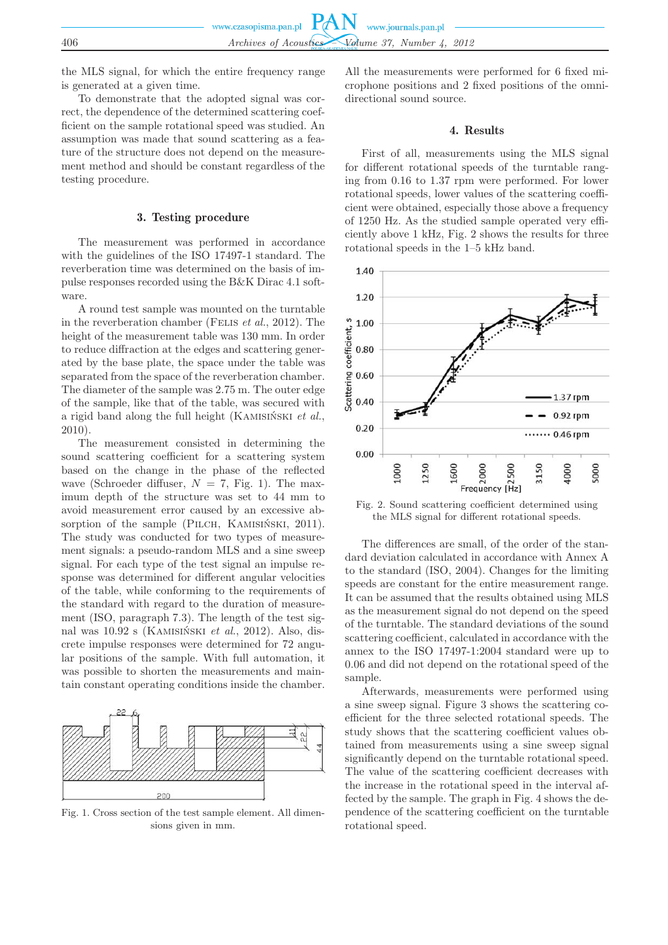the MLS signal, for which the entire frequency range is generated at a given time.

To demonstrate that the adopted signal was correct, the dependence of the determined scattering coefficient on the sample rotational speed was studied. An assumption was made that sound scattering as a feature of the structure does not depend on the measurement method and should be constant regardless of the testing procedure.

# 3. Testing procedure

The measurement was performed in accordance with the guidelines of the ISO 17497-1 standard. The reverberation time was determined on the basis of impulse responses recorded using the B&K Dirac 4.1 software.

A round test sample was mounted on the turntable in the reverberation chamber (Felis *et al.*, 2012). The height of the measurement table was 130 mm. In order to reduce diffraction at the edges and scattering generated by the base plate, the space under the table was separated from the space of the reverberation chamber. The diameter of the sample was 2.75 m. The outer edge of the sample, like that of the table, was secured with a rigid band along the full height (Kamisiński *et al.*, 2010).

The measurement consisted in determining the sound scattering coefficient for a scattering system based on the change in the phase of the reflected wave (Schroeder diffuser,  $N = 7$ , Fig. 1). The maximum depth of the structure was set to 44 mm to avoid measurement error caused by an excessive absorption of the sample (PILCH, KAMISIŃSKI, 2011). The study was conducted for two types of measurement signals: a pseudo-random MLS and a sine sweep signal. For each type of the test signal an impulse response was determined for different angular velocities of the table, while conforming to the requirements of the standard with regard to the duration of measurement (ISO, paragraph 7.3). The length of the test signal was 10.92 s (Kamisiński *et al.*, 2012). Also, discrete impulse responses were determined for 72 angular positions of the sample. With full automation, it was possible to shorten the measurements and maintain constant operating conditions inside the chamber.



Fig. 1. Cross section of the test sample element. All dimensions given in mm.

All the measurements were performed for 6 fixed microphone positions and 2 fixed positions of the omnidirectional sound source.

# 4. Results

First of all, measurements using the MLS signal for different rotational speeds of the turntable ranging from 0.16 to 1.37 rpm were performed. For lower rotational speeds, lower values of the scattering coefficient were obtained, especially those above a frequency of 1250 Hz. As the studied sample operated very efficiently above 1 kHz, Fig. 2 shows the results for three rotational speeds in the 1–5 kHz band.



Fig. 2. Sound scattering coefficient determined using the MLS signal for different rotational speeds.

The differences are small, of the order of the standard deviation calculated in accordance with Annex A to the standard (ISO, 2004). Changes for the limiting speeds are constant for the entire measurement range. It can be assumed that the results obtained using MLS as the measurement signal do not depend on the speed of the turntable. The standard deviations of the sound scattering coefficient, calculated in accordance with the annex to the ISO 17497-1:2004 standard were up to 0.06 and did not depend on the rotational speed of the sample.

Afterwards, measurements were performed using a sine sweep signal. Figure 3 shows the scattering coefficient for the three selected rotational speeds. The study shows that the scattering coefficient values obtained from measurements using a sine sweep signal significantly depend on the turntable rotational speed. The value of the scattering coefficient decreases with the increase in the rotational speed in the interval affected by the sample. The graph in Fig. 4 shows the dependence of the scattering coefficient on the turntable rotational speed.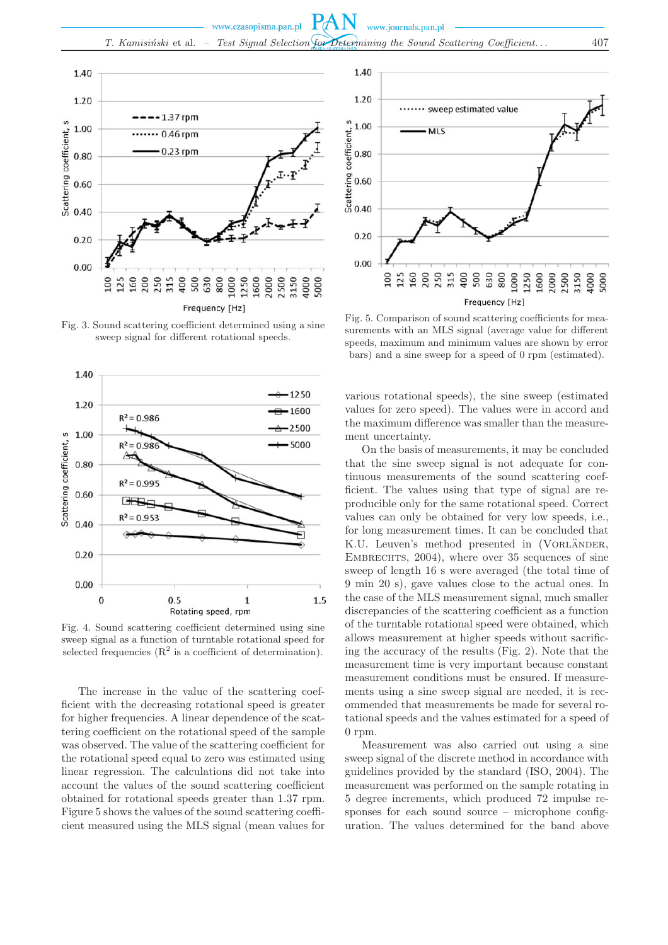

Fig. 3. Sound scattering coefficient determined using a sine sweep signal for different rotational speeds.



Fig. 4. Sound scattering coefficient determined using sine sweep signal as a function of turntable rotational speed for selected frequencies  $(R^2)$  is a coefficient of determination).

The increase in the value of the scattering coefficient with the decreasing rotational speed is greater for higher frequencies. A linear dependence of the scattering coefficient on the rotational speed of the sample was observed. The value of the scattering coefficient for the rotational speed equal to zero was estimated using linear regression. The calculations did not take into account the values of the sound scattering coefficient obtained for rotational speeds greater than 1.37 rpm. Figure 5 shows the values of the sound scattering coefficient measured using the MLS signal (mean values for



Fig. 5. Comparison of sound scattering coefficients for measurements with an MLS signal (average value for different speeds, maximum and minimum values are shown by error bars) and a sine sweep for a speed of 0 rpm (estimated).

various rotational speeds), the sine sweep (estimated values for zero speed). The values were in accord and the maximum difference was smaller than the measurement uncertainty.

On the basis of measurements, it may be concluded that the sine sweep signal is not adequate for continuous measurements of the sound scattering coefficient. The values using that type of signal are reproducible only for the same rotational speed. Correct values can only be obtained for very low speeds, i.e., for long measurement times. It can be concluded that K.U. Leuven's method presented in (VORLÄNDER, EMBRECHTS, 2004), where over 35 sequences of sine sweep of length 16 s were averaged (the total time of 9 min 20 s), gave values close to the actual ones. In the case of the MLS measurement signal, much smaller discrepancies of the scattering coefficient as a function of the turntable rotational speed were obtained, which allows measurement at higher speeds without sacrificing the accuracy of the results (Fig. 2). Note that the measurement time is very important because constant measurement conditions must be ensured. If measurements using a sine sweep signal are needed, it is recommended that measurements be made for several rotational speeds and the values estimated for a speed of 0 rpm.

Measurement was also carried out using a sine sweep signal of the discrete method in accordance with guidelines provided by the standard (ISO, 2004). The measurement was performed on the sample rotating in 5 degree increments, which produced 72 impulse responses for each sound source – microphone configuration. The values determined for the band above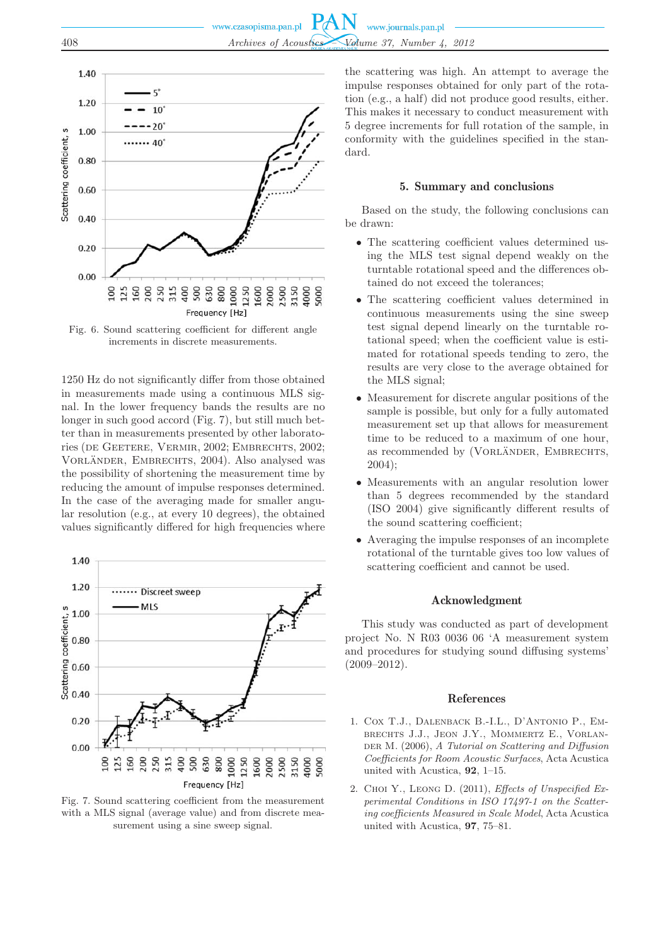

Fig. 6. Sound scattering coefficient for different angle increments in discrete measurements.

1250 Hz do not significantly differ from those obtained in measurements made using a continuous MLS signal. In the lower frequency bands the results are no longer in such good accord (Fig. 7), but still much better than in measurements presented by other laboratories (DE GEETERE, VERMIR, 2002; EMBRECHTS, 2002; VORLÄNDER, EMBRECHTS, 2004). Also analysed was the possibility of shortening the measurement time by reducing the amount of impulse responses determined. In the case of the averaging made for smaller angular resolution (e.g., at every 10 degrees), the obtained values significantly differed for high frequencies where



Fig. 7. Sound scattering coefficient from the measurement with a MLS signal (average value) and from discrete measurement using a sine sweep signal.

the scattering was high. An attempt to average the impulse responses obtained for only part of the rotation (e.g., a half) did not produce good results, either. This makes it necessary to conduct measurement with 5 degree increments for full rotation of the sample, in conformity with the guidelines specified in the standard.

## 5. Summary and conclusions

Based on the study, the following conclusions can be drawn:

- The scattering coefficient values determined using the MLS test signal depend weakly on the turntable rotational speed and the differences obtained do not exceed the tolerances;
- The scattering coefficient values determined in continuous measurements using the sine sweep test signal depend linearly on the turntable rotational speed; when the coefficient value is estimated for rotational speeds tending to zero, the results are very close to the average obtained for the MLS signal;
- Measurement for discrete angular positions of the sample is possible, but only for a fully automated measurement set up that allows for measurement time to be reduced to a maximum of one hour, as recommended by (VORLÄNDER, EMBRECHTS, 2004);
- Measurements with an angular resolution lower than 5 degrees recommended by the standard (ISO 2004) give significantly different results of the sound scattering coefficient;
- Averaging the impulse responses of an incomplete rotational of the turntable gives too low values of scattering coefficient and cannot be used.

#### Acknowledgment

This study was conducted as part of development project No. N R03 0036 06 'A measurement system and procedures for studying sound diffusing systems'  $(2009-2012)$ .

#### References

- 1. Cox T.J., Dalenback B.-I.L., D'Antonio P., Embrechts J.J., Jeon J.Y., Mommertz E., Vorlander M. (2006), *A Tutorial on Scattering and Diffusion Coefficients for Room Acoustic Surfaces*, Acta Acustica united with Acustica, **92**, 1–15.
- 2. Choi Y., Leong D. (2011), *Effects of Unspecified Experimental Conditions in ISO 17497-1 on the Scattering coefficients Measured in Scale Model*, Acta Acustica united with Acustica, **97**, 75–81.